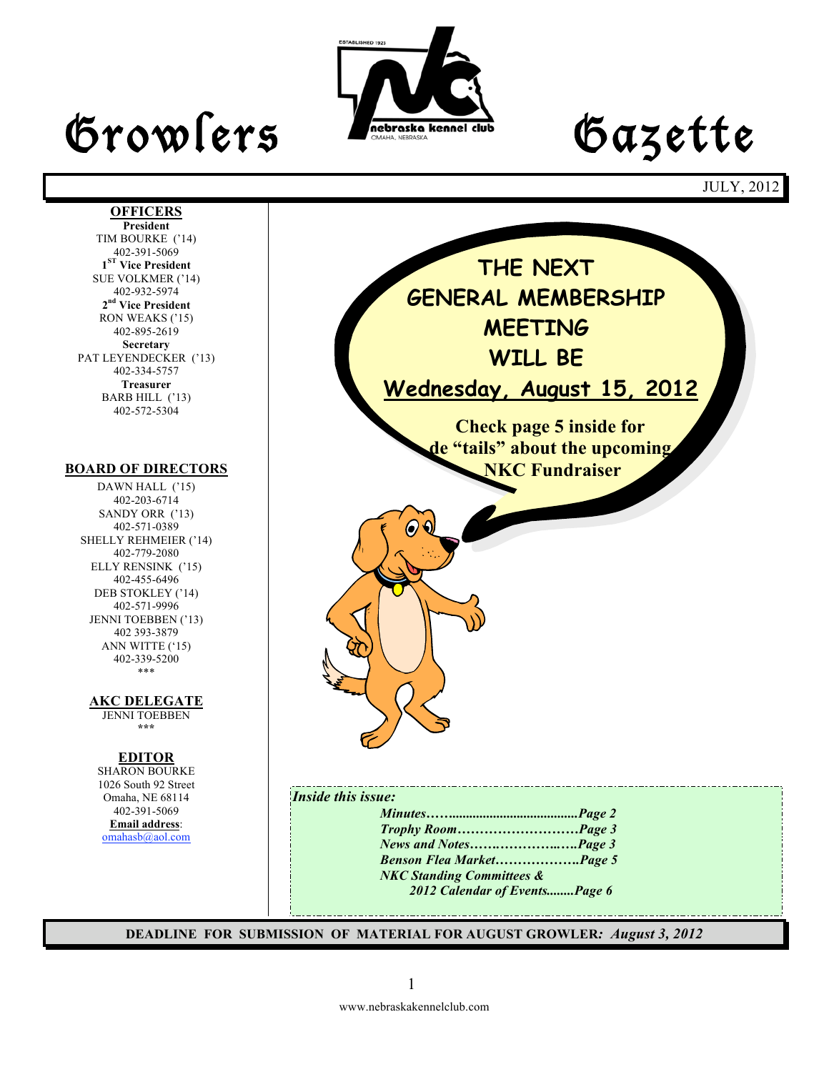# Growlers Lette



JULY, 2012

#### **OFFICERS President** TIM BOURKE ('14) 402-391-5069 **1ST Vice President** SUE VOLKMER ('14) 402-932-5974 **2nd Vice President** RON WEAKS ('15) 402-895-2619 **Secretary** PAT LEYENDECKER ('13) 402-334-5757 **Treasurer** BARB HILL ('13) 402-572-5304

#### **BOARD OF DIRECTORS**

DAWN HALL ('15) 402-203-6714 SANDY ORR ('13) 402-571-0389 SHELLY REHMEIER ('14) 402-779-2080 ELLY RENSINK ('15) 402-455-6496 DEB STOKLEY ('14) 402-571-9996 JENNI TOEBBEN ('13) 402 393-3879 ANN WITTE ('15) 402-339-5200 \*\*\*

**AKC DELEGATE** 

JENNI TOEBBEN **\*\*\***

#### **EDITOR**

SHARON BOURKE 1026 South 92 Street Omaha, NE 68114 402-391-5069 **Email address**: omahasb@aol.com



*Trophy Room………………………Page 3 News and Notes…….…………..….Page 3 Benson Flea Market……………….Page 5 NKC Standing Committees & 2012 Calendar of Events........Page 6*

**DEADLINE FOR SUBMISSION OF MATERIAL FOR AUGUST GROWLER***: August 3, 2012*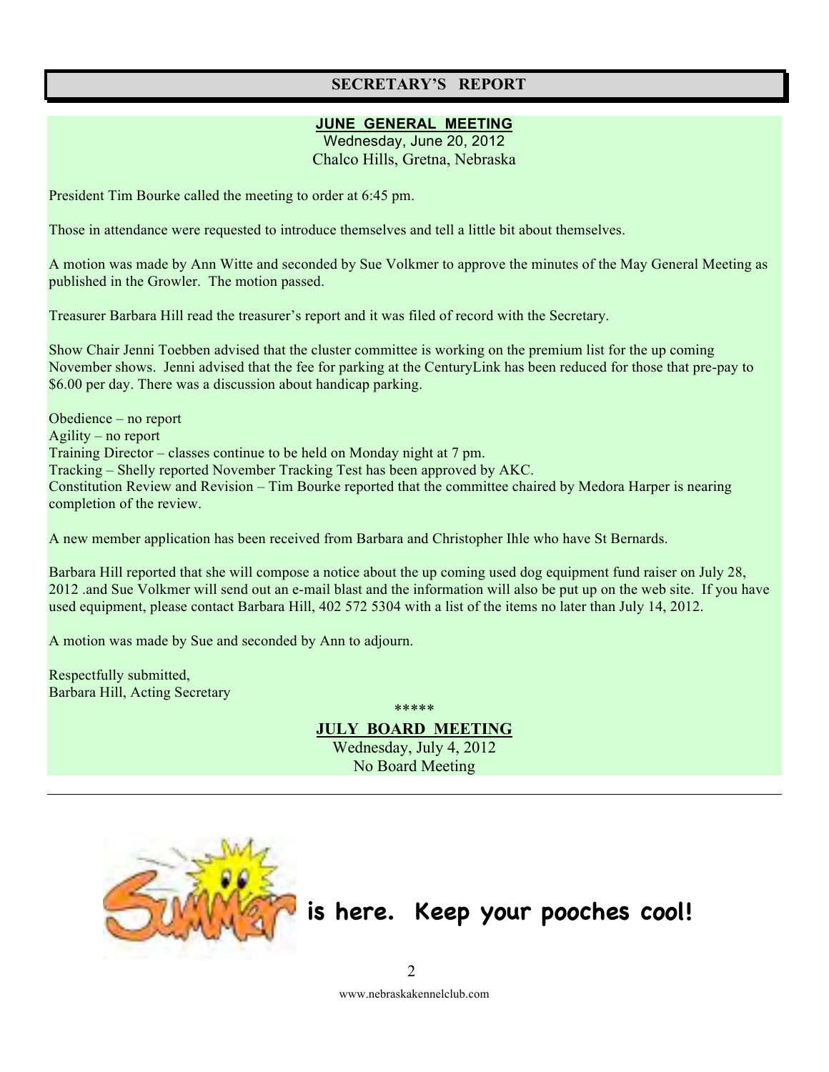## **SECRETARY'S REPORT**

#### **JUNE GENERAL MEETING**

Wednesday, June 20, 2012 Chalco Hills, Gretna, Nebraska

President Tim Bourke called the meeting to order at 6:45 pm.

Those in attendance were requested to introduce themselves and tell a little bit about themselves.

A motion was made by Ann Witte and seconded by Sue Volkmer to approve the minutes of the May General Meeting as published in the Growler. The motion passed.

Treasurer Barbara Hill read the treasurer's report and it was filed of record with the Secretary.

Show Chair Jenni Toebben advised that the cluster committee is working on the premium list for the up coming November shows. Jenni advised that the fee for parking at the CenturyLink has been reduced for those that pre-pay to \$6.00 per day. There was a discussion about handicap parking.

Obedience – no report Agility – no report Training Director – classes continue to be held on Monday night at 7 pm. Tracking – Shelly reported November Tracking Test has been approved by AKC. Constitution Review and Revision – Tim Bourke reported that the committee chaired by Medora Harper is nearing completion of the review.

A new member application has been received from Barbara and Christopher Ihle who have St Bernards.

Barbara Hill reported that she will compose a notice about the up coming used dog equipment fund raiser on July 28, 2012 .and Sue Volkmer will send out an e-mail blast and the information will also be put up on the web site. If you have used equipment, please contact Barbara Hill, 402 572 5304 with a list of the items no later than July 14, 2012.

A motion was made by Sue and seconded by Ann to adjourn.

Respectfully submitted, Barbara Hill, Acting Secretary

\*\*\*\*\* **JULY BOARD MEETING** Wednesday, July 4, 2012

No Board Meeting



## **is here. Keep your pooches cool!**

www.nebraskakennelclub.com 2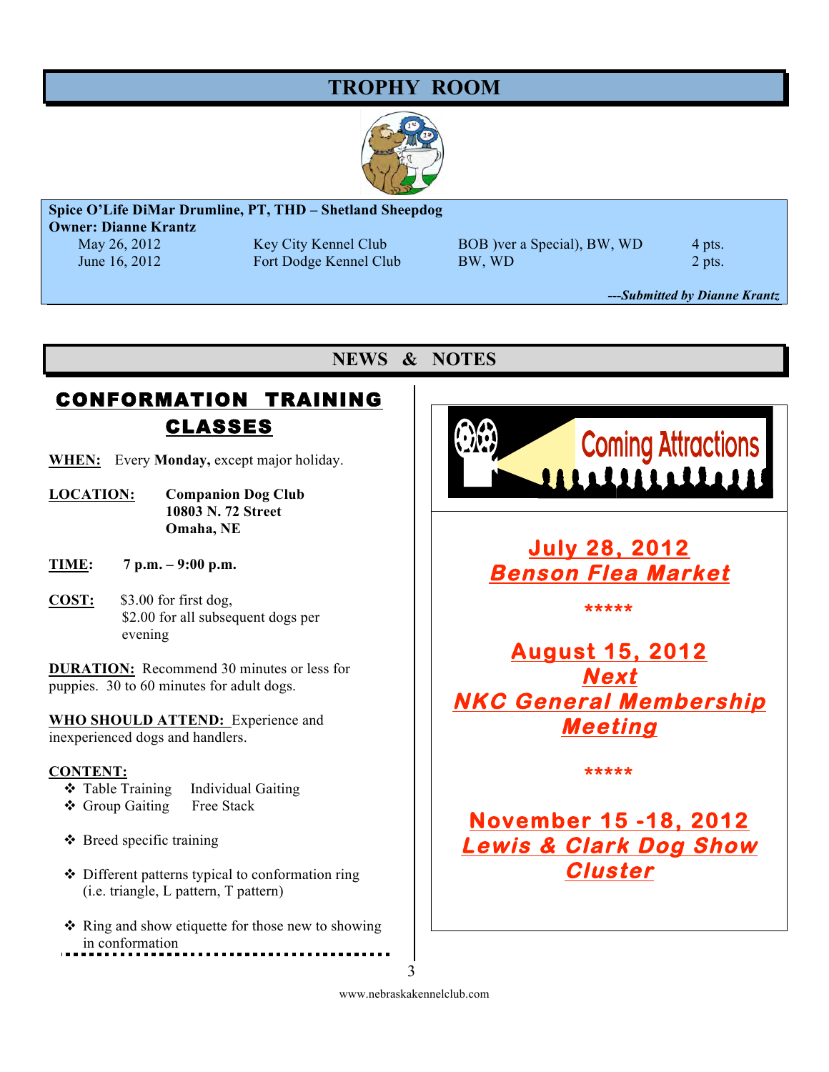## **TROPHY ROOM**



## **Spice O'Life DiMar Drumline, PT, THD – Shetland Sheepdog**

**Owner: Dianne Krantz**

May 26, 2012 Key City Kennel Club BOB )ver a Special), BW, WD 4 pts. June 16, 2012 Fort Dodge Kennel Club BW, WD 2 pts.

*---Submitted by Dianne Krantz*

## **NEWS & NOTES**

## CONFORMATION TRAINING CLASSES

- **WHEN:** Every **Monday,** except major holiday.
- **LOCATION: Companion Dog Club 10803 N. 72 Street Omaha, NE**
- **TIME: 7 p.m. 9:00 p.m.**
- **COST:** \$3.00 for first dog, \$2.00 for all subsequent dogs per evening

**DURATION:** Recommend 30 minutes or less for puppies. 30 to 60 minutes for adult dogs.

**WHO SHOULD ATTEND:** Experience and inexperienced dogs and handlers.

#### **CONTENT:**

- Table Training Individual Gaiting
- Group Gaiting Free Stack
- $\triangle$  Breed specific training
- Different patterns typical to conformation ring (i.e. triangle, L pattern, T pattern)
- $\triangle$  Ring and show etiquette for those new to showing in conformation



**July 28, 2012 Benson Flea Market** 

**\*\*\*\*\*** 

**August 15, 2012 Next NKC General Membership Meeting** 

**\*\*\*\*\*** 

## **November 15 -18, 2012 Lewis & Clark Dog Show Cluster**

www.nebraskakennelclub.com 3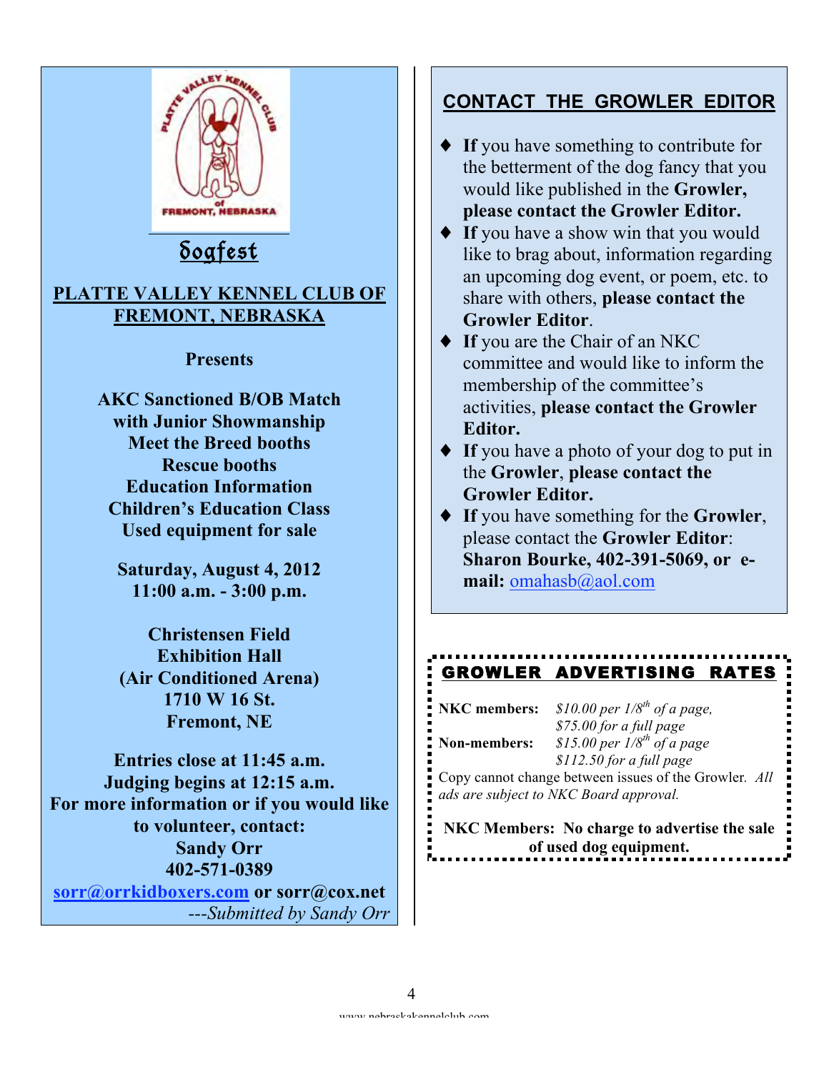

## **CONTACT THE GROWLER EDITOR**

- ♦ **If** you have something to contribute for the betterment of the dog fancy that you would like published in the **Growler, please contact the Growler Editor.**
- ♦ **If** you have a show win that you would like to brag about, information regarding an upcoming dog event, or poem, etc. to share with others, **please contact the Growler Editor**.
- ♦ **If** you are the Chair of an NKC committee and would like to inform the membership of the committee's activities, **please contact the Growler Editor.**
- ♦ **If** you have a photo of your dog to put in the **Growler**, **please contact the Growler Editor.**
- ♦ **If** you have something for the **Growler**, please contact the **Growler Editor**: **Sharon Bourke, 402-391-5069, or email:** omahasb@aol.com

## GROWLER ADVERTISING RATES

|              | <b>NKC</b> members: \$10.00 per $1/8^{th}$ of a page,       |
|--------------|-------------------------------------------------------------|
| Non-members: | \$75.00 for a full page<br>\$15.00 per $1/8^{th}$ of a page |
|              | \$112.50 for a full page                                    |
|              | Copy cannot change between issues of the Growler. $All$     |
|              | $\frac{1}{2}$ ads are subject to NKC Board approval.        |

**NKC Members: No charge to advertise the sale of used dog equipment.**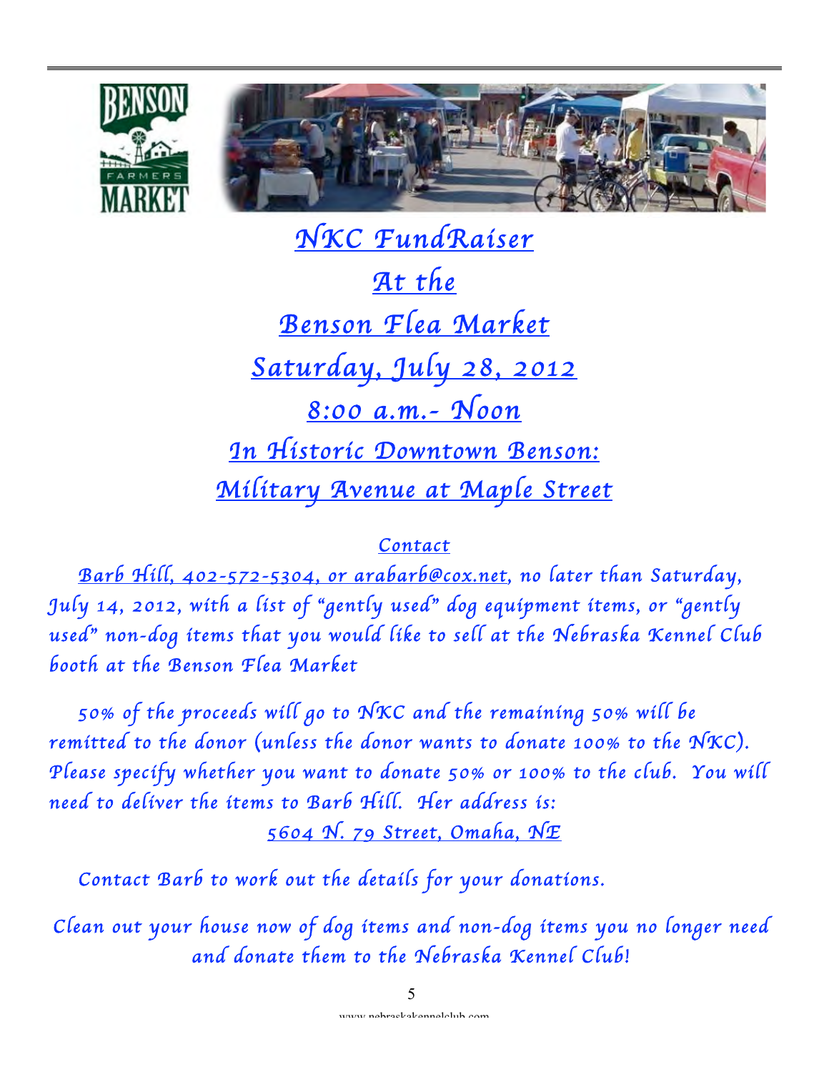



 *NKC FundRaiser At the Benson Flea Market Saturday, July 28, 2012 8:00 a.m.- Noon In Historic Downtown Benson: Military Avenue at Maple Street* 

## *Contact*

 *Barb Hill, 402-572-5304, or arabarb@cox.net, no later than Saturday, July 14, 2012, with a list of* "*gently used*" *dog equipment items, or* "*gently used*" *non-dog items that you would like to sell at the Nebraska Kennel Club booth at the Benson Flea Market* 

 *50% of the proceeds will go to NKC and the remaining 50% will be remitted to the donor* (*unless the donor wants to donate 100% to the NKC*)*. Please specify whether you want to donate 50% or 100% to the club. You will need to deliver the items to Barb Hill. Her address is:* 

*5604 N. 79 Street, Omaha, NE* 

 *Contact Barb to work out the details for your donations.* 

*Clean out your house now of dog items and non-dog items you no longer need and donate them to the Nebraska Kennel Club!*